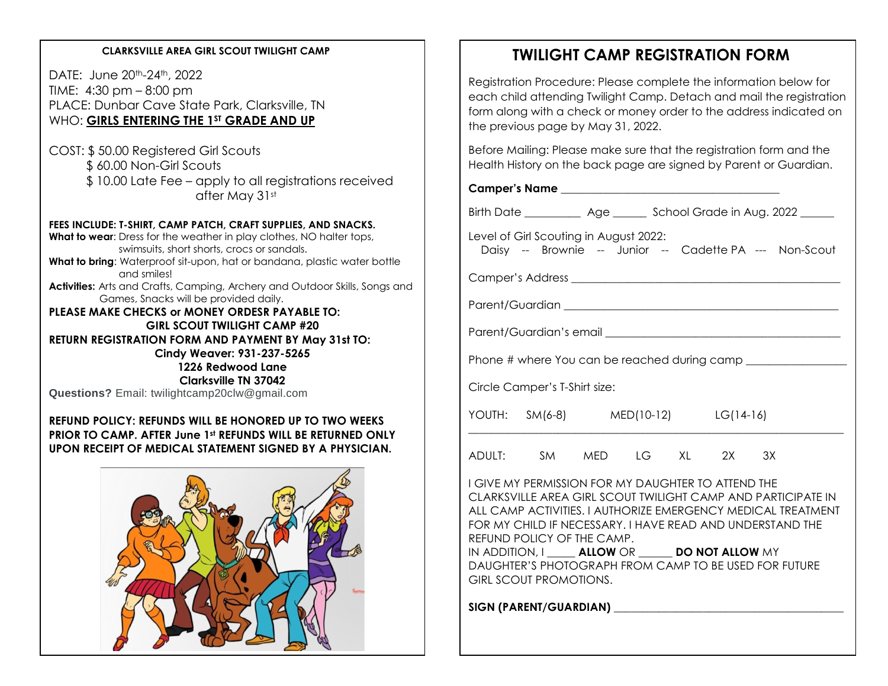#### **CLARKSVILLE AREA GIRL SCOUT TWILIGHT CAMP**

DATE: June 20<sup>th</sup>-24<sup>th</sup>, 2022 TIME: 4:30 pm – 8:00 pm PLACE: Dunbar Cave State Park, Clarksville, TN WHO: **GIRLS ENTERING THE 1ST GRADE AND UP**

COST: \$ 50.00 Registered Girl Scouts \$ 60.00 Non-Girl Scouts \$ 10.00 Late Fee – apply to all registrations received after May 31st

#### **FEES INCLUDE: T-SHIRT, CAMP PATCH, CRAFT SUPPLIES, AND SNACKS.**

**What to wear:** Dress for the weather in play clothes, NO halter tops, swimsuits, short shorts, crocs or sandals.

**What to bring**: Waterproof sit-upon, hat or bandana, plastic water bottle and smiles!

**Activities:** Arts and Crafts, Camping, Archery and Outdoor Skills, Songs and Games, Snacks will be provided daily.

**PLEASE MAKE CHECKS or MONEY ORDESR PAYABLE TO: GIRL SCOUT TWILIGHT CAMP #20 RETURN REGISTRATION FORM AND PAYMENT BY May 31st TO: Cindy Weaver: 931-237-5265 1226 Redwood Lane Clarksville TN 37042**

**Questions?** Email: twilightcamp20clw@gmail.com

#### **REFUND POLICY: REFUNDS WILL BE HONORED UP TO TWO WEEKS PRIOR TO CAMP. AFTER June 1st REFUNDS WILL BE RETURNED ONLY UPON RECEIPT OF MEDICAL STATEMENT SIGNED BY A PHYSICIAN.**



### **TWILIGHT CAMP REGISTRATION FORM**

Registration Procedure: Please complete the information below for each child attending Twilight Camp. Detach and mail the registration form along with a check or money order to the address indicated on the previous page by May 31, 2022.

Before Mailing: Please make sure that the registration form and the Health History on the back page are signed by Parent or Guardian.

Camper's Name

Birth Date \_\_\_\_\_\_\_\_\_\_ Age \_\_\_\_\_\_ School Grade in Aug. 2022 \_\_\_\_\_

Level of Girl Scouting in August 2022: Daisy -- Brownie -- Junior -- Cadette PA --- Non-Scout

Camper's Address \_\_\_\_\_\_\_\_\_\_\_\_\_\_\_\_\_\_\_\_\_\_\_\_\_\_\_\_\_\_\_\_\_\_\_\_\_\_\_\_\_\_\_\_\_\_\_\_

Parent/Guardian **Executive Server and Server Server Server Server Server Server Server Server Server Server Server Server Server Server Server Server Server Server Server Server Server Server Server Server Server Server Se** 

Parent/Guardian's email **Exercise 2018** 

Phone # where You can be reached during camp

Circle Camper's T-Shirt size:

| YOUTH: $SM(6-8)$                |      | MED(10-12) |        |           | LG(14-16) |        |  |  |
|---------------------------------|------|------------|--------|-----------|-----------|--------|--|--|
| $\lambda$ $\sim$ $\mu$ $\tau$ . | 0.11 | $\sqrt{2}$ | $\sim$ | $\lambda$ | $\sim$    | $\sim$ |  |  |

ADULT: SM MED LG XL 2X 3X

I GIVE MY PERMISSION FOR MY DAUGHTER TO ATTEND THE CLARKSVILLE AREA GIRL SCOUT TWILIGHT CAMP AND PARTICIPATE IN ALL CAMP ACTIVITIES. I AUTHORIZE EMERGENCY MEDICAL TREATMENT FOR MY CHILD IF NECESSARY. I HAVE READ AND UNDERSTAND THE REFUND POLICY OF THE CAMP.

IN ADDITION, I **ALLOW** OR **DO NOT ALLOW** MY DAUGHTER'S PHOTOGRAPH FROM CAMP TO BE USED FOR FUTURE GIRL SCOUT PROMOTIONS.

SIGN (PARENT/GUARDIAN)